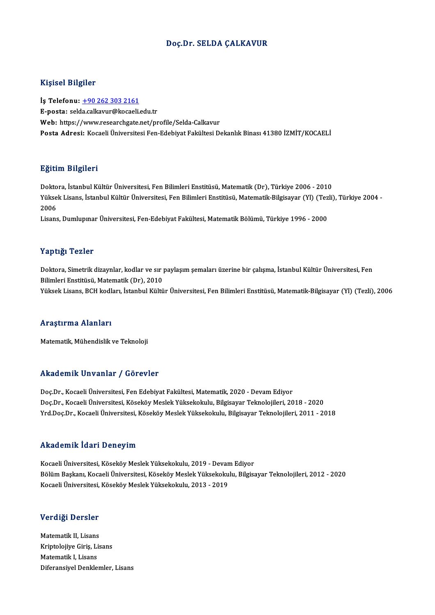#### Doç.Dr. SELDA ÇALKAVUR

#### Kişisel Bilgiler

İş Telefonu: +90 262 303 2161 E-posta: seld[a.calkavur@kocaeli.](tel:+90 262 303 2161)edu.tr Web: https://www.researchgate.net/profile/Selda-Calkavur Posta Adresi: Kocaeli Üniversitesi Fen-Edebiyat Fakültesi Dekanlık Binası 41380 İZMİT/KOCAELİ

#### Eğitim Bilgileri

<mark>Eğitim Bilgileri</mark><br>Doktora, İstanbul Kültür Üniversitesi, Fen Bilimleri Enstitüsü, Matematik (Dr), Türkiye 2006 - 2010<br>Yüksek Lisans, İstanbul Kültür Üniversitesi, Fen Bilimleri Enstitüsü, Matematik Bilgiseyer (V), (Terli) Sastini Sirgirori<br>Doktora, İstanbul Kültür Üniversitesi, Fen Bilimleri Enstitüsü, Matematik (Dr), Türkiye 2006 - 2010<br>Yüksek Lisans, İstanbul Kültür Üniversitesi, Fen Bilimleri Enstitüsü, Matematik-Bilgisayar (Yl) (Tezli), Dokto<br>Yükse<br>2006<br>Lisare Yüksek Lisans, İstanbul Kültür Üniversitesi, Fen Bilimleri Enstitüsü, Matematik-Bilgisayar (Yl) (Tez<br>2006<br>Lisans, Dumlupınar Üniversitesi, Fen-Edebiyat Fakültesi, Matematik Bölümü, Türkiye 1996 - 2000

Lisans, Dumlupınar Üniversitesi, Fen-Edebiyat Fakültesi, Matematik Bölümü, Türkiye 1996 - 2000<br>Yaptığı Tezler

Yaptığı Tezler<br>Doktora, Simetrik dizaynlar, kodlar ve sır paylaşım şemaları üzerine bir çalışma, İstanbul Kültür Üniversitesi, Fen<br>Bilimlari Enstitüsü, Matamatik (Dr.), 2010 1 up erg.<br>1 Doktora, Simetrik dizaynlar, kodlar ve sır p<br>Bilimleri Enstitüsü, Matematik (Dr), 2010<br><sup>Vültaol: Lisans, BCH kodları, İstanbul Kültü</sup> Bilimleri Enstitüsü, Matematik (Dr), 2010<br>Yüksek Lisans, BCH kodları, İstanbul Kültür Üniversitesi, Fen Bilimleri Enstitüsü, Matematik-Bilgisayar (Yl) (Tezli), 2006

#### Araştırma Alanları

Matematik, Mühendislik ve Teknoloji

### Akademik Unvanlar / Görevler

Doç.Dr., Kocaeli Üniversitesi, Fen Edebiyat Fakültesi, Matematik, 2020 - Devam Ediyor Doç.Dr., Kocaeli Üniversitesi, Köseköy Meslek Yüksekokulu, Bilgisayar Teknolojileri, 2018 - 2020 Yrd.Doç.Dr.,KocaeliÜniversitesi,KöseköyMeslekYüksekokulu,BilgisayarTeknolojileri,2011 -2018

#### Akademik İdari Deneyim

Kocaeli Üniversitesi, Köseköy Meslek Yüksekokulu, 2019 - Devam Ediyor rrittat olirik Yatı'r Bölüğ ilir.<br>Kocaeli Üniversitesi, Köseköy Meslek Yüksekokulu, 2019 - Devam Ediyor<br>Bölüm Başkanı, Kocaeli Üniversitesi, Köseköy Meslek Yüksekokulu, Bilgisayar Teknolojileri, 2012 - 2020<br>Kosaeli Ünivers Kocaeli Üniversitesi, Köseköy Meslek Yüksekokulu, 2019 - Devan<br>Bölüm Başkanı, Kocaeli Üniversitesi, Köseköy Meslek Yüksekoku<br>Kocaeli Üniversitesi, Köseköy Meslek Yüksekokulu, 2013 - 2019

# <sub>Kocaell</sub> omverslesi,<br>Verdiği Dersler

Verdi<mark>ği Dersler</mark><br>Matematik II, Lisans<br>Krintelejiye Giris Lis Vor diği Dorusion<br>Matematik II, Lisans<br>Kriptolojiye Giriş, Lisans<br>Matematik I, Lisans Matematik II, Lisans<br>Kriptolojiye Giriş, Li<br>Matematik I, Lisans<br>Di<sup>f</sup>oransiyal Donkla Matematik I, Lisans<br>Diferansiyel Denklemler, Lisans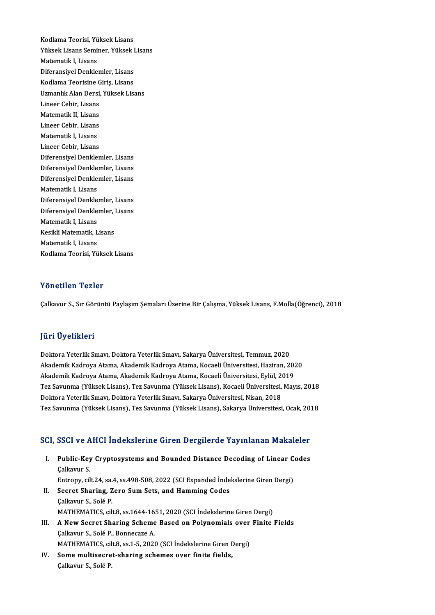Kodlama Teorisi, Yüksek Lisans<br>Yüksek Lisans Seminer, Yüksek L Yüksek Lisans Seminer, Yüksek Lisans<br>Matematik I, Lisans Kodlama Teorisi, Yü<br>Yüksek Lisans Semi<br>Matematik I, Lisans<br>Diforansiyal Denkla Yüksek Lisans Seminer, Yüksek I<br>Matematik I, Lisans<br>Diferansiyel Denklemler, Lisans<br>Kodlama Teorisine Ciris, Lisans Matematik I, Lisans<br>Diferansiyel Denklemler, Lisans<br>Kodlama Teorisine Giriş, Lisans<br>Uzmanlık Alan Dersi, Vüksek Lis Diferansiyel Denklemler, Lisans<br>Kodlama Teorisine Giriş, Lisans<br>Uzmanlık Alan Dersi, Yüksek Lisans<br>Lineer Cebir, Lisans Kodlama Teorisine Giriş, Lisans<br>Uzmanlık Alan Dersi, Yüksek Lis<br>Lineer Cebir, Lisans Uzmanlık Alan Dersi,<br>Lineer Cebir, Lisans<br>Matematik II, Lisans<br>Lineer Cebir, Lisans Lineer Cebir, Lisans<br>Matematik II, Lisans<br>Lineer Cebir, Lisans<br>Matematik I, Lisans Matematik II, Lisans<br>Lineer Cebir, Lisans<br>Matematik I, Lisans<br>Lineer Cebir, Lisans Lineer Cebir, Lisans<br>Matematik I, Lisans<br>Lineer Cebir, Lisans Diferensiyel Denklemler, Lisans Diferensiyel Denklemler, Lisans Diferensiyel Denklemler, Lisans<br>Diferensiyel Denklemler, Lisans<br>Diferensiyel Denklemler, Lisans<br>Matamatik I, Lisans Diferensiyel Denkle<br>Diferensiyel Denkle<br>Matematik I, Lisans<br>Diferensiyel Denkle Diferensiyel Denklemler, Lisans<br>Matematik I, Lisans<br>Diferensiyel Denklemler, Lisans<br>Diferensiyel Denklemler, Lisans Matematik I, Lisans<br>Diferensiyel Denklemler, Lisans<br>Diferensiyel Denklemler, Lisans<br>Matematik I, Lisans Diferensiyel Denkle<br>Diferensiyel Denkle<br>Matematik I, Lisans<br>Kesikli Matematik I Diferensiyel Denklemler, Lisans<br>Matematik I, Lisans<br>Kesikli Matematik, Lisans Matematik I, Lisans KodlamaTeorisi,YüksekLisans

### Yönetilen Tezler

Çalkavur S.,SırGörüntüPaylaşımŞemalarıÜzerineBir Çalışma,YüksekLisans,F.Mola(Öğrenci),2018

### JüriÜyelikleri

Jüri Üyelikleri<br>Doktora Yeterlik Sınavı, Doktora Yeterlik Sınavı, Sakarya Üniversitesi, Temmuz, 2020<br>Akademik Kadneva Atama, Akademik Kadneva Atama, Kasaeli Üniversitesi, Harinan, 20 yarr Oyommorr<br>Doktora Yeterlik Sınavı, Doktora Yeterlik Sınavı, Sakarya Üniversitesi, Temmuz, 2020<br>Akademik Kadroya Atama, Akademik Kadroya Atama, Kocaeli Üniversitesi, Haziran, 2020<br>Akademik Kadroya Atama, Akademik Kadroy Doktora Yeterlik Sınavı, Doktora Yeterlik Sınavı, Sakarya Üniversitesi, Temmuz, 2020<br>Akademik Kadroya Atama, Akademik Kadroya Atama, Kocaeli Üniversitesi, Haziran, 20.<br>Akademik Kadroya Atama, Akademik Kadroya Atama, Kocael Akademik Kadroya Atama, Akademik Kadroya Atama, Kocaeli Üniversitesi, Haziran, 2020<br>Akademik Kadroya Atama, Akademik Kadroya Atama, Kocaeli Üniversitesi, Eylül, 2019<br>Tez Savunma (Yüksek Lisans), Tez Savunma (Yüksek Lisans) Akademik Kadroya Atama, Akademik Kadroya Atama, Kocaeli Üniversitesi, Eylül, 20<br>Tez Savunma (Yüksek Lisans), Tez Savunma (Yüksek Lisans), Kocaeli Üniversitesi,<br>Doktora Yeterlik Sınavı, Doktora Yeterlik Sınavı, Sakarya Üniv Tez Savunma (Yüksek Lisans), Tez Savunma (Yüksek Lisans), Kocaeli Üniversitesi, Mayıs, 2018<br>Doktora Yeterlik Sınavı, Doktora Yeterlik Sınavı, Sakarya Üniversitesi, Nisan, 2018<br>Tez Savunma (Yüksek Lisans), Tez Savunma (Yüks Tez Savunma (Yüksek Lisans), Tez Savunma (Yüksek Lisans), Sakarya Üniversitesi, Ocak, 2018<br>SCI, SSCI ve AHCI İndekslerine Giren Dergilerde Yayınlanan Makaleler

- CI, SSCI ve AHCI İndekslerine Giren Dergilerde Yayınlanan Makaleler<br>I. Public-Key Cryptosystems and Bounded Distance Decoding of Linear Codes<br>Collowy S Public-Key<br>Public-Key<br>Çalkavur S. Public-Key Cryptosystems and Bounded Distance Decoding of Linear C<br>Calkavur S.<br>Entropy, cilt.24, sa.4, ss.498-508, 2022 (SCI Expanded İndekslerine Giren Dergi)<br>Segrat Sharing, Zare Sum Sata, and Hamming Codes. Calkavur S.<br>Entropy, cilt.24, sa.4, ss.498-508, 2022 (SCI Expanded Inde II. Secret Sharing, Zero Sum Sets, and Hamming Codes<br>Calkavur S., Solé P. Entropy, cilt.24, sa.4, ss.498-508, 2022 (SCI Expanded Indekslerine Giren Dergi) MATHEMATICS, cilt.8, ss.1644-1651, 2020 (SCI İndekslerine Giren Dergi) Calkavur S., Solé P.<br>MATHEMATICS, cilt.8, ss.1644-1651, 2020 (SCI İndekslerine Giren Dergi)<br>III. A New Secret Sharing Scheme Based on Polynomials over Finite Fields MATHEMATICS, cilt.8, ss.1644-16<br>A New Secret Sharing Scheme<br>Calkavur S., Solé P., Bonnecaze A. A New Secret Sharing Scheme Based on Polynomials over<br>Calkavur S., Solé P., Bonnecaze A.<br>MATHEMATICS, cilt.8, ss.1-5, 2020 (SCI İndekslerine Giren Dergi)<br>Seme multiaegrat sharing sahemas over finite fields. Calkavur S., Solé P., Bonnecaze A.<br>MATHEMATICS, cilt.8, ss.1-5, 2020 (SCI İndekslerine Giren D.<br>IV. Some multisecret-sharing schemes over finite fields,
- MATHEMATICS, cil<br><mark>Some multisecre</mark><br>Çalkavur S., Solé P.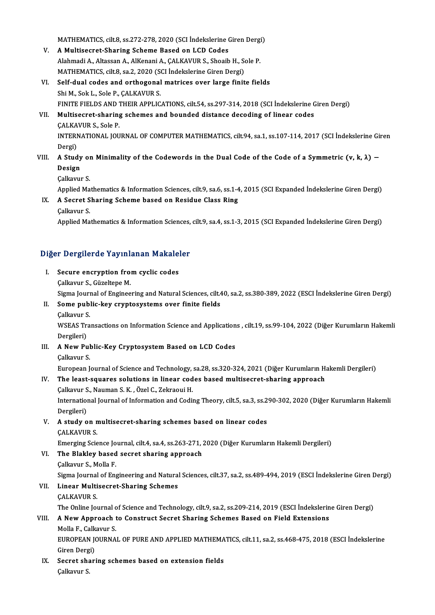MATHEMATICS, cilt.8, ss.272-278, 2020 (SCI İndekslerine Giren Dergi)<br>A Multisegret Sharing Sahama Basad en LCD Cadas

- V. AMultisecret-Sharing Scheme Based on LCD Codes MATHEMATICS, cilt.8, ss.272-278, 2020 (SCI İndekslerine Giren Dergi<br>A Multisecret-Sharing Scheme Based on LCD Codes<br>Alahmadi A., Altassan A., AlKenani A., ÇALKAVUR S., Shoaib H., Sole P.<br>MATUEMATICS. silt 8, ss.2, 2020 (SC Alahmadi A., Altassan A., AlKenani A., ÇALKAVUR S., Shoaib H., Sole P.<br>MATHEMATICS, cilt.8, sa.2, 2020 (SCI İndekslerine Giren Dergi)
- VI. Self-dual codes and orthogonal matrices over large finite fields Shi M., Sok L., Sole P., ÇALKAVUR S. Self-dual codes and orthogonal matrices over large finite fields<br>Shi M., Sok L., Sole P., ÇALKAVUR S.<br>FINITE FIELDS AND THEIR APPLICATIONS, cilt.54, ss.297-314, 2018 (SCI İndekslerine Giren Dergi)<br>Multisesret sharing sehem Shi M., Sok L., Sole P., ÇALKAVUR S.<br>FINITE FIELDS AND THEIR APPLICATIONS, cilt.54, ss.297-314, 2018 (SCI İndekslerine G<br>VII. Multisecret-sharing schemes and bounded distance decoding of linear codes<br>CALKAVUR S. Sole B
- FINITE FIELDS AND 1<br>Multisecret-sharing<br>CALKAVUR S., Sole P.<br>INTERNATIONAL JOU Multisecret-sharing schemes and bounded distance decoding of linear codes<br>ÇALKAVUR S., Sole P.<br>INTERNATIONAL JOURNAL OF COMPUTER MATHEMATICS, cilt.94, sa.1, ss.107-114, 2017 (SCI İndekslerine Giren<br>Dergi) CALKA<br>INTERI<br>Dergi)<br>A Stud INTERNATIONAL JOURNAL OF COMPUTER MATHEMATICS, cilt.94, sa.1, ss.107-114, 2017 (SCI Indekslerine Gir<br>Dergi)<br>VIII. A Study on Minimality of the Codewords in the Dual Code of the Code of a Symmetric (v, k, λ) −<br>Decism
- Dergi)<br>A Study<br>Design<br><sup>Collrouw</sup> A Study o<mark>l</mark><br>Design<br>Çalkavur S.<br>Annlied Me Design<br>Çalkavur S.<br>Applied Mathematics & Information Sciences, cilt.9, sa.6, ss.1-4, 2015 (SCI Expanded İndekslerine Giren Dergi)
	-

# Calkavur S.<br>Applied Mathematics & Information Sciences, cilt.9, sa.6, ss.1-4<br>IX. A Secret Sharing Scheme based on Residue Class Ring<br>Calkavur S. Applied Ma<br>**A Secret S<br>Çalkavur S.<br>Annlied Me**

Applied Mathematics & Information Sciences, cilt.9, sa.4, ss.1-3, 2015 (SCI Expanded Indekslerine Giren Dergi)

# Applied Mathematics & Information Sciences,<br>Diğer Dergilerde Yayınlanan Makaleler

Iger Dergilerde Yayınlanan Makale<br>I. Secure encryption from cyclic codes I. Secure encryption from cyclic codes<br>Calkavur S., Güzeltepe M. Secure encryption from cyclic codes<br>Çalkavur S., Güzeltepe M.<br>Sigma Journal of Engineering and Natural Sciences, cilt.40, sa.2, ss.380-389, 2022 (ESCI İndekslerine Giren Dergi)<br>Soma publis kay eruntesystems over finite fie Calkavur S., Güzeltepe M.<br>Sigma Journal of Engineering and Natural Sciences, cilt.<br>II. Some public-key cryptosystems over finite fields<br>Colliavur S. Sigma Jouri<br>S<mark>ome pub</mark>l<br>Çalkavur S.<br>WSEAS Tre

Calkavur S

II. Some public-key cryptosystems over finite fields<br>Calkavur S.<br>WSEAS Transactions on Information Science and Applications , cilt.19, ss.99-104, 2022 (Diğer Kurumların Hakemli<br>Dergileri) WSEAS Transactions on Information Science and Application<br>Dergileri)<br>III. A New Public-Key Cryptosystem Based on LCD Codes<br>Collramy S

Dergileri)<br>**A New Pul<br><sup>Çalkavur S.<br>Europeon I**</sup> A New Public-Key Cryptosystem Based on LCD Codes<br>Çalkavur S.<br>European Journal of Science and Technology, sa.28, ss.320-324, 2021 (Diğer Kurumların Hakemli Dergileri)<br>The least sayares selutions in linean sades based multis Calkavur S.<br>European Journal of Science and Technology, sa.28, ss.320-324, 2021 (Diğer Kurumların H<br>IV. The least-squares solutions in linear codes based multisecret-sharing approach<br>Calkavur S., Nauman S. K. , Özel C.

European Journal of Science and Technology,<br>The least-squares solutions in linear cod<br>Çalkavur S., Nauman S. K. , Özel C., Zekraoui H.<br>International Journal of Information and Codi: The least-squares solutions in linear codes based multisecret-sharing approach<br>Çalkavur S., Nauman S. K. , Özel C., Zekraoui H.<br>International Journal of Information and Coding Theory, cilt.5, sa.3, ss.290-302, 2020 (Diğer Calkavur S<br>Internation<br>Dergileri)<br>A study o International Journal of Information and Coding Theory, cilt.5, sa.3, ss.2<br>Dergileri)<br>V. A study on multisecret-sharing schemes based on linear codes<br>CALKAVUR S

Dergileri)<br>V. A study on multisecret-sharing schemes based on linear codes<br>CALKAVUR S. A study on multisecret-sharing schemes based on linear codes<br>ÇALKAVUR S.<br>Emerging Science Journal, cilt.4, sa.4, ss.263-271, 2020 (Diğer Kurumların Hakemli Dergileri)<br>The Blakley based secret sharing approach

## VI. The Blakley based secret sharing approach<br>Calkavur S., Molla F.

Emerging Science Jo<br>The Blakley based<br>Çalkavur S., Molla F.<br>Sirma Journal of Eng

The Blakley based secret sharing approach<br>Çalkavur S., Molla F.<br>Sigma Journal of Engineering and Natural Sciences, cilt.37, sa.2, ss.489-494, 2019 (ESCI İndekslerine Giren Dergi)<br>Linear Multisearet Sharing Schames

- VII. Linear Multisecret-Sharing Schemes<br>CALKAVUR S.
- Sigma Journal<br><mark>Linear Multi</mark><br>ÇALKAVUR S.<br><sup>The Online Jou</sup>

Linear Multisecret-Sharing Schemes<br>ÇALKAVUR S.<br>The Online Journal of Science and Technology, cilt.9, sa.2, ss.209-214, 2019 (ESCI İndekslerine Giren Dergi)<br>A Navy Annreach to Construct Segret Sharing Schemes Based on Field

# CALKAVUR S.<br>The Online Journal of Science and Technology, cilt.9, sa.2, ss.209-214, 2019 (ESCI İndekslerin<br>VIII. A New Approach to Construct Secret Sharing Schemes Based on Field Extensions<br>Melle E. Cellisinus S. The Online Journal c<br>**A New Approach t<br>Molla F., Calkavur S.<br>EUROPEAN JOURNA**

A New Approach to Construct Secret Sharing Schemes Based on Field Extensions<br>Molla F., Calkavur S.<br>EUROPEAN JOURNAL OF PURE AND APPLIED MATHEMATICS, cilt.11, sa.2, ss.468-475, 2018 (ESCI İndekslerine<br>Ciron Dergi) Molla F., Calk<br>EUROPEAN J(<br>Giren Dergi)<br>Seenet shari EUROPEAN JOURNAL OF PURE AND APPLIED MATHEMA<br>Giren Dergi)<br>IX. Secret sharing schemes based on extension fields

Giren Derg<br><mark>Secret sh</mark>a<br>Çalkavur S.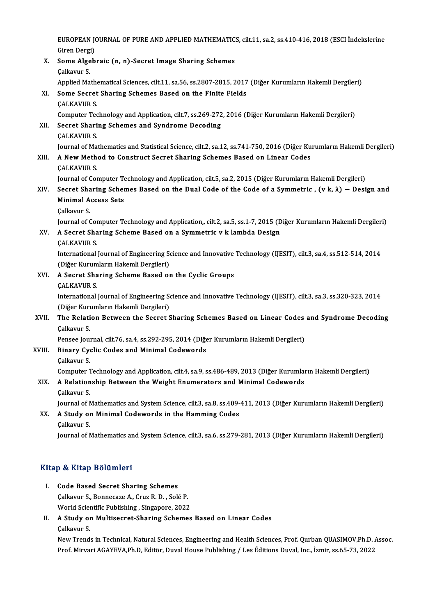EUROPEAN JOURNAL OF PURE AND APPLIED MATHEMATICS, cilt.11, sa.2, ss.410-416, 2018 (ESCI İndekslerine<br>Ciron Dargi) EUROPEAN JO<br>Giren Dergi)<br>Some Alseb EUROPEAN JOURNAL OF PURE AND APPLIED MATHEMATIC:<br>Giren Dergi)<br>X. Some Algebraic (n, n)-Secret Image Sharing Schemes

- Giren Dergi)<br>X. Some Algebraic (n, n)-Secret Image Sharing Schemes<br>Calkavur S. Some Algebraic (n, n)-Secret Image Sharing Schemes<br>Çalkavur S.<br>Applied Mathematical Sciences, cilt.11, sa.56, ss.2807-2815, 2017 (Diğer Kurumların Hakemli Dergileri)<br>Some Secret Sharing Schemes Based on the Finite Fields
- XI. Some Secret Sharing Schemes Based on the Finite Fields Applied Mathe<br>Some Secret<br>ÇALKAVUR S.<br>Computer Tec

Computer Technology and Application, cilt.7, ss.269-272, 2016 (Diğer Kurumların Hakemli Dergileri)

#### XII. Secret Sharing Schemes and Syndrome Decoding ÇALKAVURS.

Secret Sharing Schemes and Syndrome Decoding<br>ÇALKAVUR S.<br>Journal of Mathematics and Statistical Science, cilt.2, sa.12, ss.741-750, 2016 (Diğer Kurumların Hakemli Dergileri)

XIII. A New Method to Construct Secret Sharing Schemes Based on Linear Codes CALKAVUR S. Journal of Ma<br>**A New Meth<br>CALKAVUR S.**<br>Journal of Cor A New Method to Construct Secret Sharing Schemes Based on Linear Codes<br>CALKAVUR S.<br>Journal of Computer Technology and Application, cilt.5, sa.2, 2015 (Diğer Kurumların Hakemli Dergileri)<br>Segret Sharing Schemes Based on the

CALKAVUR S.<br>Journal of Computer Technology and Application, cilt.5, sa.2, 2015 (Diğer Kurumların Hakemli Dergileri)<br>XIV. Secret Sharing Schemes Based on the Dual Code of the Code of a Symmetric , (ν k, λ) − Design and<br> **Journal of Computer Te<br>Secret Sharing Scher<br>Minimal Access Sets<br>Callramn S** Secret Sha<br>Minimal A<br>Çalkavur S.<br>Journal of G Minimal Access Sets<br>Çalkavur S.<br>Journal of Computer Technology and Application,, cilt.2, sa.5, ss.1-7, 2015 (Diğer Kurumların Hakemli Dergileri)

Calkavur S.<br>Journal of Computer Technology and Application,, cilt.2, sa.5, ss.1-7, 2015 (D<br>XV. A Secret Sharing Scheme Based on a Symmetric v k lambda Design<br>CALKAVUR S Journal of Cor<br>A Secret Sha<br>ÇALKAVUR S.<br>International

A Secret Sharing Scheme Based on a Symmetric v k lambda Design<br>ÇALKAVUR S.<br>International Journal of Engineering Science and Innovative Technology (IJESIT), cilt.3, sa.4, ss.512-514, 2014<br>(Diğer Kurumların Hakemli Dergileri CALKAVUR S.<br>International Journal of Engineering So<br>(Diğer Kurumların Hakemli Dergileri)<br>A Sosrat Sharing Sobome Based or International Journal of Engineering Science and Innovative<br>(Diğer Kurumların Hakemli Dergileri)<br>XVI. A Secret Sharing Scheme Based on the Cyclic Groups

(Diğer Kurum<br>A Secret Sha<br>ÇALKAVUR S.<br>International

A Secret Sharing Scheme Based on the Cyclic Groups<br>ÇALKAVUR S.<br>International Journal of Engineering Science and Innovative Technology (IJESIT), cilt.3, sa.3, ss.320-323, 2014<br>(Diğer Kurumların Hakemli Dergileri) CALKAVUR S.<br>International Journal of Engineering So<br>(Diğer Kurumların Hakemli Dergileri)<br>The Bolation Between the Socret S International Journal of Engineering Science and Innovative Technology (IJESIT), cilt.3, sa.3, ss.320-323, 2014<br>(Diğer Kurumların Hakemli Dergileri)<br>XVII. The Relation Between the Secret Sharing Schemes Based on Linear Cod

## (Diğer Kuri<br>**The Relati**<br>Çalkavur S.<br>Pensee Jou The Relation Between the Secret Sharing Schemes Based on Linear Codes<br>Çalkavur S.<br>Pensee Journal, cilt.76, sa.4, ss.292-295, 2014 (Diğer Kurumların Hakemli Dergileri)<br>Binary Gyalia Codes and Minimal Codewards Calkavur S.<br>Pensee Journal, cilt.76, sa.4, ss.292-295, 2014 (Diğe<br>XVIII. Binary Cyclic Codes and Minimal Codewords

# Pensee Joul<br>Binary Cyo<br>Çalkavur S.<br>Computer <sup>J</sup>

Binary Cyclic Codes and Minimal Codewords<br>Calkavur S.<br>Computer Technology and Application, cilt.4, sa.9, ss.486-489, 2013 (Diğer Kurumların Hakemli Dergileri)<br>A Belstionship Between the Weight Enumerators and Minimal Codew

# Calkavur S.<br>Computer Technology and Application, cilt.4, sa.9, ss.486-489, 2013 (Diğer Kurumlaı<br>XIX. A Relationship Between the Weight Enumerators and Minimal Codewords<br>Calkavur S. Computer 1<br>**A Relation<br>Çalkavur S.**<br>Journal of N

A Relationship Between the Weight Enumerators and Minimal Codewords<br>Çalkavur S.<br>Journal of Mathematics and System Science, cilt.3, sa.8, ss.409-411, 2013 (Diğer Kurumların Hakemli Dergileri)<br>A Study on Minimal Godewords in

## XX. A Study on Minimal Codewords in the Hamming Codes<br>Calkavur S. Journal of N<br>**A Study of**<br>Çalkavur S.<br>Journal of N

Journal of Mathematics and System Science, cilt.3, sa.6, ss.279-281, 2013 (Diğer Kurumların Hakemli Dergileri)

## Kitap & Kitap Bölümleri

I. Code Based Secret Sharing Schemes Çalkavur S.,BonnecazeA.,CruzR.D. ,SoléP. Code Based Secret Sharing Schemes<br>Çalkavur S., Bonnecaze A., Cruz R. D., Solé P.<br>World Scientific Publishing, Singapore, 2022<br>A. Study on Multisearst Sharing Schemes

## II. A Study on Multisecret-Sharing Schemes Based on Linear Codes<br>Calkavur S. World Scien<br>**A Study of**<br>Çalkavur S.<br>Now Trend

New Trends in Technical, Natural Sciences, Engineering and Health Sciences, Prof. Qurban QUASIMOV,Ph.D. Assoc. Prof. Mirvari AGAYEVA,Ph.D, Editör, Duval House Publishing / Les Éditions Duval, Inc., İzmir, ss.65-73, 2022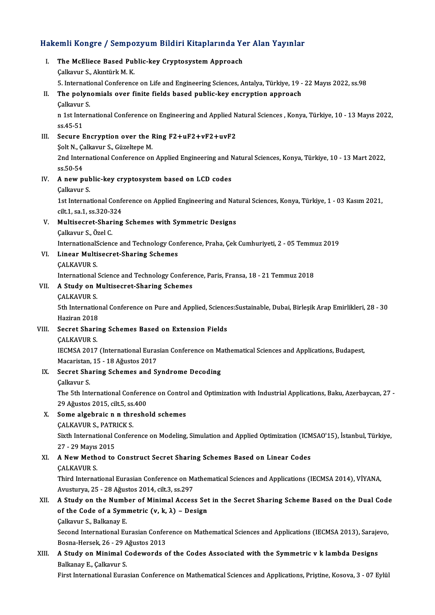# Hakemli Kongre / Sempozyum Bildiri Kitaplarında Yer Alan Yayınlar<br>Hakemli Kongre / Sempozyum Bildiri Kitaplarında Yer Alan Yayınlar

| Hakemli Kongre / Sempozyum Bildiri Kitaplarında Yer Alan Yayınlar |                                                                                                                                                                                      |
|-------------------------------------------------------------------|--------------------------------------------------------------------------------------------------------------------------------------------------------------------------------------|
| L.                                                                | The McEliece Based Public-key Cryptosystem Approach<br>Çalkavur S., Akıntürk M. K.                                                                                                   |
| П.                                                                | 5. International Conference on Life and Engineering Sciences, Antalya, Türkiye, 19 - 22 Mayıs 2022, ss.98<br>The polynomials over finite fields based public-key encryption approach |
|                                                                   | Çalkavur S<br>n 1st International Conference on Engineering and Applied Natural Sciences, Konya, Türkiye, 10 - 13 Mayıs 2022,<br>ss 45-51                                            |
| III.                                                              | Secure Encryption over the Ring F2+uF2+vF2+uvF2<br>Şolt N., Çalkavur S., Güzeltepe M.                                                                                                |
|                                                                   | 2nd International Conference on Applied Engineering and Natural Sciences, Konya, Türkiye, 10 - 13 Mart 2022,<br>ss 50-54                                                             |
| IV.                                                               | A new public-key cryptosystem based on LCD codes<br>Çalkavur S                                                                                                                       |
|                                                                   | 1st International Conference on Applied Engineering and Natural Sciences, Konya, Türkiye, 1 - 03 Kasım 2021,<br>cilt 1, sa 1, ss 320-324                                             |
| V.                                                                | Multisecret-Sharing Schemes with Symmetric Designs<br>Çalkavur S., Özel C.                                                                                                           |
| VI.                                                               | InternationalScience and Technology Conference, Praha, Çek Cumhuriyeti, 2 - 05 Temmuz 2019<br><b>Linear Multisecret-Sharing Schemes</b><br><b>CALKAVUR S</b>                         |
| VII.                                                              | International Science and Technology Conference, Paris, Fransa, 18 - 21 Temmuz 2018<br>A Study on Multisecret-Sharing Schemes                                                        |
|                                                                   | <b>ÇALKAVUR S</b><br>5th International Conference on Pure and Applied, Sciences: Sustainable, Dubai, Birleşik Arap Emirlikleri, 28 - 30                                              |
| VIII.                                                             | Haziran 2018<br>Secret Sharing Schemes Based on Extension Fields<br><b>ÇALKAVUR S</b>                                                                                                |
|                                                                   | IECMSA 2017 (International Eurasian Conference on Mathematical Sciences and Applications, Budapest,<br>Macaristan, 15 - 18 Ağustos 2017                                              |
| IX.                                                               | Secret Sharing Schemes and Syndrome Decoding<br>Çalkavur S                                                                                                                           |
|                                                                   | The 5th International Conference on Control and Optimization with Industrial Applications, Baku, Azerbaycan, 27 -<br>29 Ağustos 2015, cilt 5, ss 400                                 |
| X.                                                                | Some algebraic n n threshold schemes<br>ÇALKAVUR S., PATRICK S.                                                                                                                      |
|                                                                   | Sixth International Conference on Modeling, Simulation and Applied Optimization (ICMSAO'15), İstanbul, Türkiye,<br>27 - 29 Mayıs 2015                                                |
| XI.                                                               | A New Method to Construct Secret Sharing Schemes Based on Linear Codes<br><b>ÇALKAVUR S</b>                                                                                          |
|                                                                   | Third International Eurasian Conference on Mathematical Sciences and Applications (IECMSA 2014), VİYANA,<br>Avusturya, 25 - 28 Ağustos 2014, cilt.3, ss.297                          |
| XII.                                                              | A Study on the Number of Minimal Access Set in the Secret Sharing Scheme Based on the Dual Code<br>of the Code of a Symmetric $(v, k, \lambda)$ - Design<br>Çalkavur S., Balkanay E. |
|                                                                   | Second International Eurasian Conference on Mathematical Sciences and Applications (IECMSA 2013), Sarajevo,<br>Bosna-Hersek, 26 - 29 Ağustos 2013                                    |
| XIII.                                                             | A Study on Minimal Codewords of the Codes Associated with the Symmetric v k lambda Designs<br>Balkanay E., Çalkavur S.                                                               |
|                                                                   | First International Eurasian Conference on Mathematical Sciences and Applications, Priștine, Kosova, 3 - 07 Eylül                                                                    |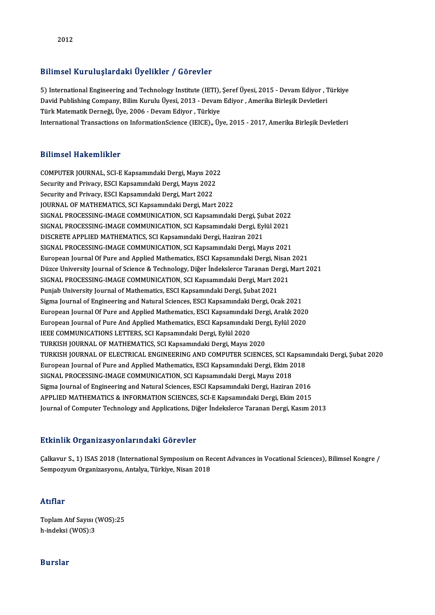## Bilimsel KuruluşlardakiÜyelikler / Görevler

Bilimsel Kuruluşlardaki Üyelikler / Görevler<br>5) International Engineering and Technology Institute (IETI), Şeref Üyesi, 2015 - Devam Ediyor , Türkiye<br>David Bublishing Company, Bilim Kurulu Üyesi, 2013 - Devam Ediyor, Ameri David David Star analysis alahr Oyommor / Gorovich<br>5) International Engineering and Technology Institute (IETI), Şeref Üyesi, 2015 - Devam Ediyor , T<br>David Publishing Company, Bilim Kurulu Üyesi, 2013 - Devam Ediyor , Amer 5) International Engineering and Technology Institute (IETI),<br>David Publishing Company, Bilim Kurulu Üyesi, 2013 - Devam<br>Türk Matematik Derneği, Üye, 2006 - Devam Ediyor , Türkiye<br>International Transactions on InformationS David Publishing Company, Bilim Kurulu Üyesi, 2013 - Devam Ediyor , Amerika Birleşik Devletleri<br>Türk Matematik Derneği, Üye, 2006 - Devam Ediyor , Türkiye<br>International Transactions on InformationScience (IEICE),, Üye, 201

### Bilimsel Hakemlikler

Bilimsel Hakemlikler<br>COMPUTER JOURNAL, SCI-E Kapsamındaki Dergi, Mayıs 2022<br>Seguritu and Privagu ESCI Kapsamındaki Dergi, Mayıs 2022 Saannoof Aunomanus<br>COMPUTER JOURNAL, SCI-E Kapsamındaki Dergi, Mayıs 2022<br>Security and Privacy, ESCI Kapsamındaki Dergi, Mayıs 2022<br>Security and Privacy, ESCI Kapsamındaki Dergi, Mart 2022 COMPUTER JOURNAL, SCI-E Kapsamındaki Dergi, Mayıs 202<br>Security and Privacy, ESCI Kapsamındaki Dergi, Mayıs 2022<br>Security and Privacy, ESCI Kapsamındaki Dergi, Mart 2022<br>JOURNAL OE MATHEMATICS, SCI Kapsamındaki Dergi, Mart Security and Privacy, ESCI Kapsamındaki Dergi, Mayıs 2022<br>Security and Privacy, ESCI Kapsamındaki Dergi, Mart 2022<br>JOURNAL OF MATHEMATICS, SCI Kapsamındaki Dergi. Mart 2022 Security and Privacy, ESCI Kapsamındaki Dergi, Mart 2022<br>JOURNAL OF MATHEMATICS, SCI Kapsamındaki Dergi, Mart 2022<br>SIGNAL PROCESSING-IMAGE COMMUNICATION, SCI Kapsamındaki Dergi, Şubat 2022<br>SIGNAL PROCESSING-IMAGE COMMUNICA JOURNAL OF MATHEMATICS, SCI Kapsamındaki Dergi, Mart 2022<br>SIGNAL PROCESSING-IMAGE COMMUNICATION, SCI Kapsamındaki Dergi, Şubat 2022<br>SIGNAL PROCESSING-IMAGE COMMUNICATION, SCI Kapsamındaki Dergi, Eylül 2021<br>DISCRETE ARRI IE SIGNAL PROCESSING-IMAGE COMMUNICATION, SCI Kapsamındaki Dergi, Şul<br>SIGNAL PROCESSING-IMAGE COMMUNICATION, SCI Kapsamındaki Dergi, Ey<br>DISCRETE APPLIED MATHEMATICS, SCI Kapsamındaki Dergi, Haziran 2021<br>SICNAL PROCESSING IMAG SIGNAL PROCESSING-IMAGE COMMUNICATION, SCI Kapsamındaki Dergi, Eylül 2021<br>DISCRETE APPLIED MATHEMATICS, SCI Kapsamındaki Dergi, Haziran 2021<br>SIGNAL PROCESSING-IMAGE COMMUNICATION, SCI Kapsamındaki Dergi, Mayıs 2021 European Journal Of Pure and Applied Mathematics, ESCI Kapsamındaki Dergi, Nisan 2021 SIGNAL PROCESSING-IMAGE COMMUNICATION, SCI Kapsamındaki Dergi, Mayıs 2021<br>European Journal Of Pure and Applied Mathematics, ESCI Kapsamındaki Dergi, Nisan 2021<br>Düzce University Journal of Science & Technology, Diğer İndeks European Journal Of Pure and Applied Mathematics, ESCI Kapsamındaki Dergi, Nisan<br>Düzce University Journal of Science & Technology, Diğer İndekslerce Taranan Dergi, Mart<br>SIGNAL PROCESSING-IMAGE COMMUNICATION, SCI Kapsamında Düzce University Journal of Science & Technology, Diğer İndekslerce Taranan De<br>SIGNAL PROCESSING-IMAGE COMMUNICATION, SCI Kapsamındaki Dergi, Mart 20<br>Punjab University Journal of Mathematics, ESCI Kapsamındaki Dergi, Şubat SIGNAL PROCESSING-IMAGE COMMUNICATION, SCI Kapsamındaki Dergi, Mart 2021<br>Punjab University Journal of Mathematics, ESCI Kapsamındaki Dergi, Şubat 2021<br>Sigma Journal of Engineering and Natural Sciences, ESCI Kapsamındaki De European Journal Of Pure and Applied Mathematics, ESCI Kapsamındaki Dergi, Aralık 2020 Sigma Journal of Engineering and Natural Sciences, ESCI Kapsamındaki Dergi, Ocak 2021<br>European Journal Of Pure and Applied Mathematics, ESCI Kapsamındaki Dergi, Aralık 2020<br>European Journal of Pure And Applied Mathematics, European Journal Of Pure and Applied Mathematics, ESCI Kapsamındaki<br>European Journal of Pure And Applied Mathematics, ESCI Kapsamındak<br>IEEE COMMUNICATIONS LETTERS, SCI Kapsamındaki Dergi, Eylül 2020<br>TURKISH JOURNAL OF MATH European Journal of Pure And Applied Mathematics, ESCI Kapsamındaki Der<sub>i</sub><br>IEEE COMMUNICATIONS LETTERS, SCI Kapsamındaki Dergi, Eylül 2020<br>TURKISH JOURNAL OF MATHEMATICS, SCI Kapsamındaki Dergi, Mayıs 2020<br>TURKISH JOURNAL IEEE COMMUNICATIONS LETTERS, SCI Kapsamındaki Dergi, Eylül 2020<br>TURKISH JOURNAL OF MATHEMATICS, SCI Kapsamındaki Dergi, Mayıs 2020<br>TURKISH JOURNAL OF ELECTRICAL ENGINEERING AND COMPUTER SCIENCES, SCI Kapsamındaki Dergi, Şu TURKISH JOURNAL OF MATHEMATICS, SCI Kapsamındaki Dergi, Mayıs 2020<br>TURKISH JOURNAL OF ELECTRICAL ENGINEERING AND COMPUTER SCIENCES, SCI Kapsan<br>European Journal of Pure and Applied Mathematics, ESCI Kapsamındaki Dergi, Ekim TURKISH JOURNAL OF ELECTRICAL ENGINEERING AND COMPUTER SCIENCES, SCI Ka<br>European Journal of Pure and Applied Mathematics, ESCI Kapsamındaki Dergi, Ekim 2<br>SIGNAL PROCESSING-IMAGE COMMUNICATION, SCI Kapsamındaki Dergi, Mayıs European Journal of Pure and Applied Mathematics, ESCI Kapsamındaki Dergi, Ekim 2018<br>SIGNAL PROCESSING-IMAGE COMMUNICATION, SCI Kapsamındaki Dergi, Mayıs 2018<br>Sigma Journal of Engineering and Natural Sciences, ESCI Kapsamı SIGNAL PROCESSING-IMAGE COMMUNICATION, SCI Kapsamındaki Dergi, Mayıs 2018<br>Sigma Journal of Engineering and Natural Sciences, ESCI Kapsamındaki Dergi, Haziran 2016<br>APPLIED MATHEMATICS & INFORMATION SCIENCES, SCI-E Kapsamınd Sigma Journal of Engineering and Natural Sciences, ESCI Kapsamındaki Dergi, Haziran 2016<br>APPLIED MATHEMATICS & INFORMATION SCIENCES, SCI-E Kapsamındaki Dergi, Ekim 2015<br>Journal of Computer Technology and Applications, Diğe Journal of Computer Technology and Applications, Diğer İndekslerce Taranan Dergi, Kasım 2013<br>Etkinlik Organizasyonlarındaki Görevler

Etkinlik Organizasyonlarındaki Görevler<br>Çalkavur S., 1) ISAS 2018 (International Symposium on Recent Advances in Vocational Sciences), Bilimsel Kongre<br>Sempoguum Organizesyonu, Antelye Türkiye Nigan 2018 Semmin Organizasyonia: maani dorovici<br>Çalkavur S., 1) ISAS 2018 (International Symposium on Re<br>Sempozyum Organizasyonu, Antalya, Türkiye, Nisan 2018 Sempozyum Organizasyonu, Antalya, Türkiye, Nisan 2018<br>Atıflar

ToplamAtıf Sayısı (WOS):25 h-indeksi (WOS):3

### Burslar